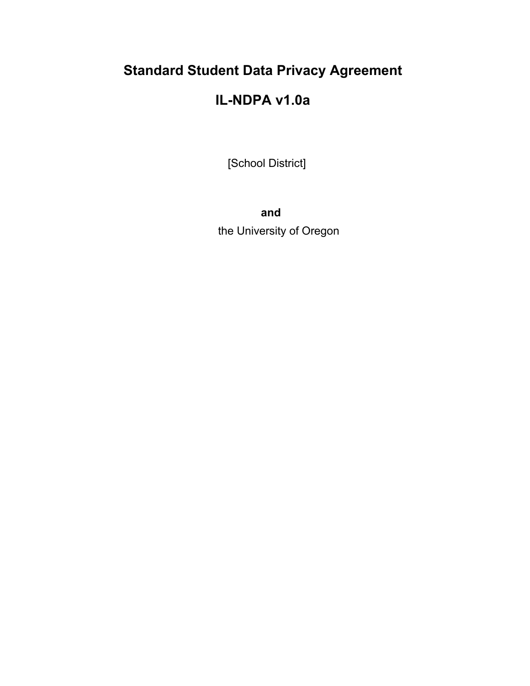# **Standard Student Data Privacy Agreement**

# **IL-NDPA v1.0a**

[School District]

**and** the University of Oregon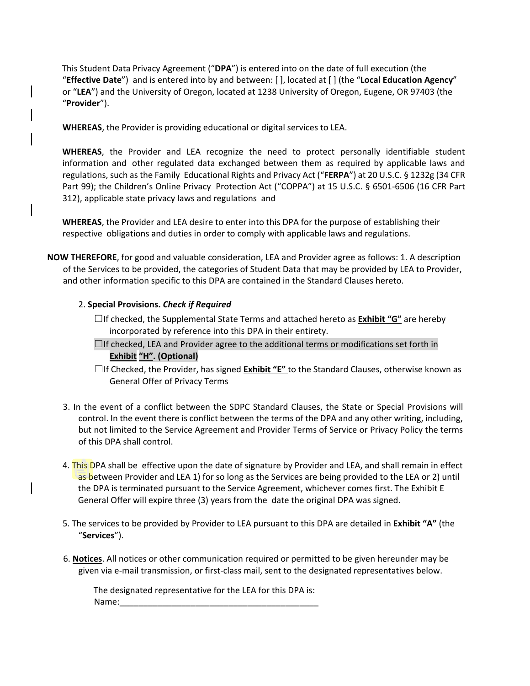This Student Data Privacy Agreement ("**DPA**") is entered into on the date of full execution (the "**Effective Date**") and is entered into by and between: [ ], located at [ ] (the "**Local Education Agency**" or "**LEA**") and the University of Oregon, located at 1238 University of Oregon, Eugene, OR 97403 (the "**Provider**").

**WHEREAS**, the Provider is providing educational or digital services to LEA.

**WHEREAS**, the Provider and LEA recognize the need to protect personally identifiable student information and other regulated data exchanged between them as required by applicable laws and regulations, such as the Family Educational Rights and Privacy Act ("**FERPA**") at 20 U.S.C. § 1232g (34 CFR Part 99); the Children's Online Privacy Protection Act ("COPPA") at 15 U.S.C. § 6501-6506 (16 CFR Part 312), applicable state privacy laws and regulations and

**WHEREAS**, the Provider and LEA desire to enter into this DPA for the purpose of establishing their respective obligations and duties in order to comply with applicable laws and regulations.

**NOW THEREFORE**, for good and valuable consideration, LEA and Provider agree as follows: 1. A description of the Services to be provided, the categories of Student Data that may be provided by LEA to Provider, and other information specific to this DPA are contained in the Standard Clauses hereto.

### 2. **Special Provisions.** *Check if Required*

☐If checked, the Supplemental State Terms and attached hereto as **Exhibit "G"** are hereby incorporated by reference into this DPA in their entirety.

- $\Box$ If checked, LEA and Provider agree to the additional terms or modifications set forth in **Exhibit "H". (Optional)**
- ☐If Checked, the Provider, has signed **Exhibit "E"** to the Standard Clauses, otherwise known as General Offer of Privacy Terms
- 3. In the event of a conflict between the SDPC Standard Clauses, the State or Special Provisions will control. In the event there is conflict between the terms of the DPA and any other writing, including, but not limited to the Service Agreement and Provider Terms of Service or Privacy Policy the terms of this DPA shall control.
- 4. This DPA shall be effective upon the date of signature by Provider and LEA, and shall remain in effect as between Provider and LEA 1) for so long as the Services are being provided to the LEA or 2) until the DPA is terminated pursuant to the Service Agreement, whichever comes first. The Exhibit E General Offer will expire three (3) years from the date the original DPA was signed.
- 5. The services to be provided by Provider to LEA pursuant to this DPA are detailed in **Exhibit "A"** (the "**Services**").
- 6. **Notices**. All notices or other communication required or permitted to be given hereunder may be given via e-mail transmission, or first-class mail, sent to the designated representatives below.

The designated representative for the LEA for this DPA is: Name: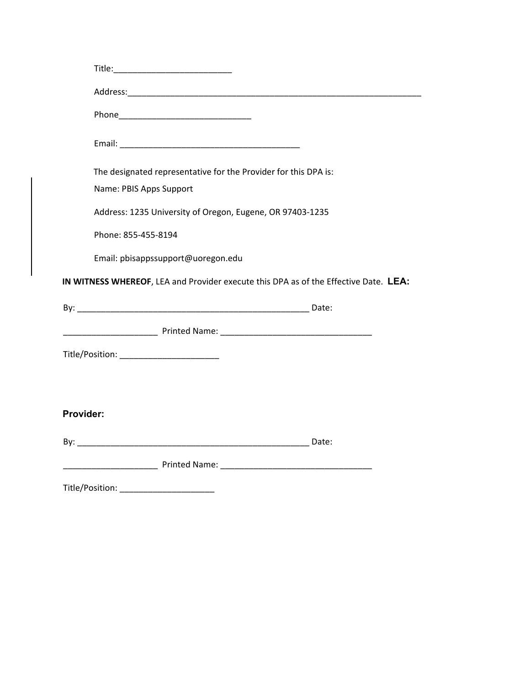|           | The designated representative for the Provider for this DPA is:                      |  |
|-----------|--------------------------------------------------------------------------------------|--|
|           | Name: PBIS Apps Support                                                              |  |
|           | Address: 1235 University of Oregon, Eugene, OR 97403-1235                            |  |
|           | Phone: 855-455-8194                                                                  |  |
|           |                                                                                      |  |
|           | Email: pbisappssupport@uoregon.edu                                                   |  |
|           | IN WITNESS WHEREOF, LEA and Provider execute this DPA as of the Effective Date. LEA: |  |
|           |                                                                                      |  |
|           |                                                                                      |  |
|           |                                                                                      |  |
| Provider: |                                                                                      |  |
|           |                                                                                      |  |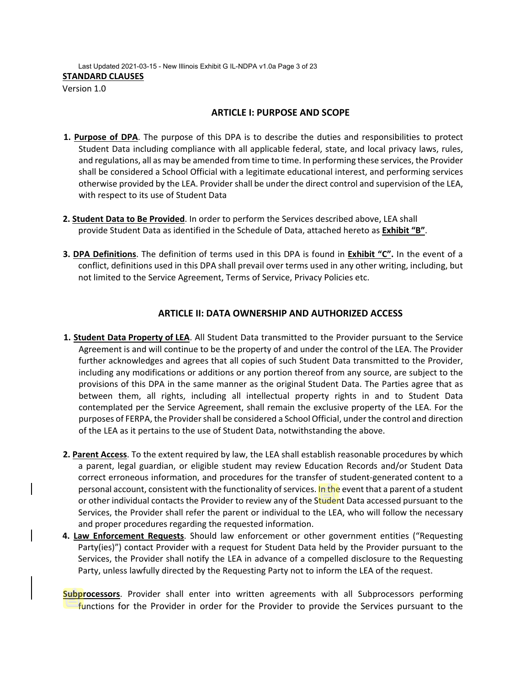Last Updated 2021-03-15 - New Illinois Exhibit G IL-NDPA v1.0a Page 3 of 23

### **STANDARD CLAUSES**

Version 1.0

### **ARTICLE I: PURPOSE AND SCOPE**

- **1. Purpose of DPA**. The purpose of this DPA is to describe the duties and responsibilities to protect Student Data including compliance with all applicable federal, state, and local privacy laws, rules, and regulations, all as may be amended from time to time. In performing these services, the Provider shall be considered a School Official with a legitimate educational interest, and performing services otherwise provided by the LEA. Provider shall be under the direct control and supervision of the LEA, with respect to its use of Student Data
- **2. Student Data to Be Provided**. In order to perform the Services described above, LEA shall provide Student Data as identified in the Schedule of Data, attached hereto as **Exhibit "B"**.
- **3. DPA Definitions**. The definition of terms used in this DPA is found in **Exhibit "C".** In the event of a conflict, definitions used in this DPA shall prevail over terms used in any other writing, including, but not limited to the Service Agreement, Terms of Service, Privacy Policies etc.

### **ARTICLE II: DATA OWNERSHIP AND AUTHORIZED ACCESS**

- **1. Student Data Property of LEA**. All Student Data transmitted to the Provider pursuant to the Service Agreement is and will continue to be the property of and under the control of the LEA. The Provider further acknowledges and agrees that all copies of such Student Data transmitted to the Provider, including any modifications or additions or any portion thereof from any source, are subject to the provisions of this DPA in the same manner as the original Student Data. The Parties agree that as between them, all rights, including all intellectual property rights in and to Student Data contemplated per the Service Agreement, shall remain the exclusive property of the LEA. For the purposes of FERPA, the Provider shall be considered a School Official, under the control and direction of the LEA as it pertains to the use of Student Data, notwithstanding the above.
- **2. Parent Access**. To the extent required by law, the LEA shall establish reasonable procedures by which a parent, legal guardian, or eligible student may review Education Records and/or Student Data correct erroneous information, and procedures for the transfer of student-generated content to a personal account, consistent with the functionality of services. In the event that a parent of a student or other individual contacts the Provider to review any of the Student Data accessed pursuant to the Services, the Provider shall refer the parent or individual to the LEA, who will follow the necessary and proper procedures regarding the requested information.
- **4. Law Enforcement Requests**. Should law enforcement or other government entities ("Requesting Party(ies)") contact Provider with a request for Student Data held by the Provider pursuant to the Services, the Provider shall notify the LEA in advance of a compelled disclosure to the Requesting Party, unless lawfully directed by the Requesting Party not to inform the LEA of the request.
- **Subprocessors**. Provider shall enter into written agreements with all Subprocessors performing functions for the Provider in order for the Provider to provide the Services pursuant to the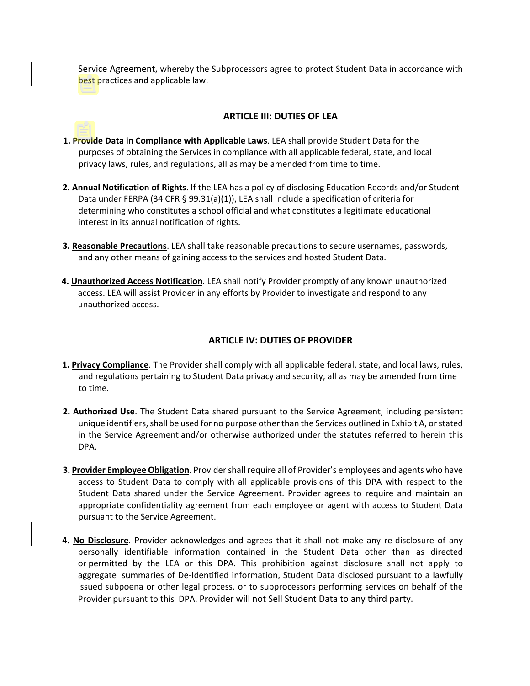Service Agreement, whereby the Subprocessors agree to protect Student Data in accordance with best practices and applicable law.

### **ARTICLE III: DUTIES OF LEA**

- **1. Provide Data in Compliance with Applicable Laws**. LEA shall provide Student Data for the purposes of obtaining the Services in compliance with all applicable federal, state, and local privacy laws, rules, and regulations, all as may be amended from time to time.
- **2. Annual Notification of Rights**. If the LEA has a policy of disclosing Education Records and/or Student Data under FERPA (34 CFR § 99.31(a)(1)), LEA shall include a specification of criteria for determining who constitutes a school official and what constitutes a legitimate educational interest in its annual notification of rights.
- **3. Reasonable Precautions**. LEA shall take reasonable precautions to secure usernames, passwords, and any other means of gaining access to the services and hosted Student Data.
- **4. Unauthorized Access Notification**. LEA shall notify Provider promptly of any known unauthorized access. LEA will assist Provider in any efforts by Provider to investigate and respond to any unauthorized access.

### **ARTICLE IV: DUTIES OF PROVIDER**

- **1. Privacy Compliance**. The Provider shall comply with all applicable federal, state, and local laws, rules, and regulations pertaining to Student Data privacy and security, all as may be amended from time to time.
- **2. Authorized Use**. The Student Data shared pursuant to the Service Agreement, including persistent unique identifiers, shall be used for no purpose other than the Services outlined in Exhibit A, or stated in the Service Agreement and/or otherwise authorized under the statutes referred to herein this DPA.
- **3. Provider Employee Obligation**. Provider shall require all of Provider's employees and agents who have access to Student Data to comply with all applicable provisions of this DPA with respect to the Student Data shared under the Service Agreement. Provider agrees to require and maintain an appropriate confidentiality agreement from each employee or agent with access to Student Data pursuant to the Service Agreement.
- **4. No Disclosure**. Provider acknowledges and agrees that it shall not make any re-disclosure of any personally identifiable information contained in the Student Data other than as directed or permitted by the LEA or this DPA. This prohibition against disclosure shall not apply to aggregate summaries of De-Identified information, Student Data disclosed pursuant to a lawfully issued subpoena or other legal process, or to subprocessors performing services on behalf of the Provider pursuant to this DPA. Provider will not Sell Student Data to any third party.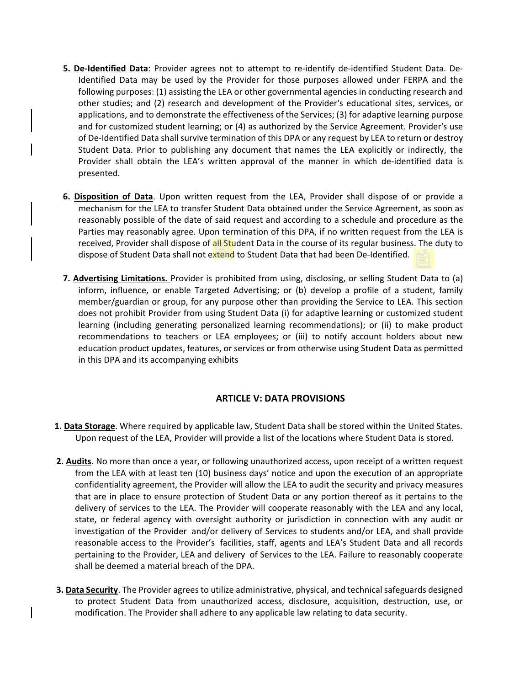- **5. De-Identified Data**: Provider agrees not to attempt to re-identify de-identified Student Data. De-Identified Data may be used by the Provider for those purposes allowed under FERPA and the following purposes: (1) assisting the LEA or other governmental agencies in conducting research and other studies; and (2) research and development of the Provider's educational sites, services, or applications, and to demonstrate the effectiveness of the Services; (3) for adaptive learning purpose and for customized student learning; or (4) as authorized by the Service Agreement. Provider's use of De-Identified Data shall survive termination of this DPA or any request by LEA to return or destroy Student Data. Prior to publishing any document that names the LEA explicitly or indirectly, the Provider shall obtain the LEA's written approval of the manner in which de-identified data is presented.
- **6. Disposition of Data**. Upon written request from the LEA, Provider shall dispose of or provide a mechanism for the LEA to transfer Student Data obtained under the Service Agreement, as soon as reasonably possible of the date of said request and according to a schedule and procedure as the Parties may reasonably agree. Upon termination of this DPA, if no written request from the LEA is received, Provider shall dispose of all Student Data in the course of its regular business. The duty to dispose of Student Data shall not extend to Student Data that had been De-Identified.
- **7. Advertising Limitations.** Provider is prohibited from using, disclosing, or selling Student Data to (a) inform, influence, or enable Targeted Advertising; or (b) develop a profile of a student, family member/guardian or group, for any purpose other than providing the Service to LEA. This section does not prohibit Provider from using Student Data (i) for adaptive learning or customized student learning (including generating personalized learning recommendations); or (ii) to make product recommendations to teachers or LEA employees; or (iii) to notify account holders about new education product updates, features, or services or from otherwise using Student Data as permitted in this DPA and its accompanying exhibits

### **ARTICLE V: DATA PROVISIONS**

- **1. Data Storage**. Where required by applicable law, Student Data shall be stored within the United States. Upon request of the LEA, Provider will provide a list of the locations where Student Data is stored.
- **2. Audits.** No more than once a year, or following unauthorized access, upon receipt of a written request from the LEA with at least ten (10) business days' notice and upon the execution of an appropriate confidentiality agreement, the Provider will allow the LEA to audit the security and privacy measures that are in place to ensure protection of Student Data or any portion thereof as it pertains to the delivery of services to the LEA. The Provider will cooperate reasonably with the LEA and any local, state, or federal agency with oversight authority or jurisdiction in connection with any audit or investigation of the Provider and/or delivery of Services to students and/or LEA, and shall provide reasonable access to the Provider's facilities, staff, agents and LEA's Student Data and all records pertaining to the Provider, LEA and delivery of Services to the LEA. Failure to reasonably cooperate shall be deemed a material breach of the DPA.
- **3. Data Security**. The Provider agrees to utilize administrative, physical, and technical safeguards designed to protect Student Data from unauthorized access, disclosure, acquisition, destruction, use, or modification. The Provider shall adhere to any applicable law relating to data security.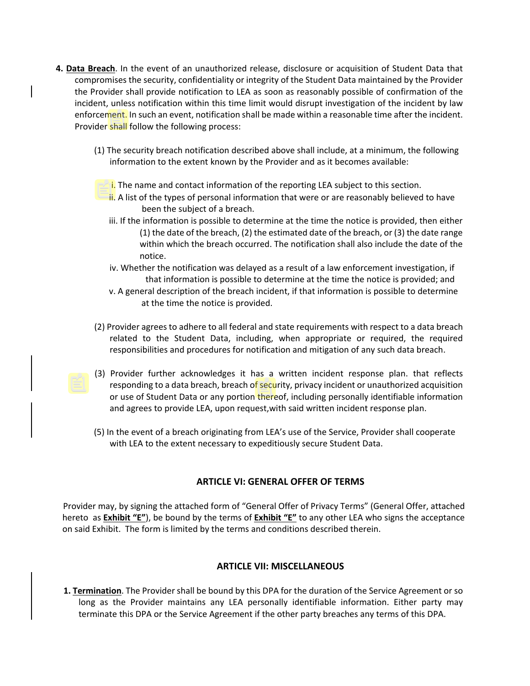- **4. Data Breach**. In the event of an unauthorized release, disclosure or acquisition of Student Data that compromises the security, confidentiality or integrity of the Student Data maintained by the Provider the Provider shall provide notification to LEA as soon as reasonably possible of confirmation of the incident, unless notification within this time limit would disrupt investigation of the incident by law enforcement. In such an event, notification shall be made within a reasonable time after the incident. Provider shall follow the following process:
	- (1) The security breach notification described above shall include, at a minimum, the following information to the extent known by the Provider and as it becomes available:
		- i. The name and contact information of the reporting LEA subject to this section.
		- ii. A list of the types of personal information that were or are reasonably believed to have been the subject of a breach.
		- iii. If the information is possible to determine at the time the notice is provided, then either (1) the date of the breach, (2) the estimated date of the breach, or (3) the date range within which the breach occurred. The notification shall also include the date of the notice.
		- iv. Whether the notification was delayed as a result of a law enforcement investigation, if that information is possible to determine at the time the notice is provided; and
		- v. A general description of the breach incident, if that information is possible to determine at the time the notice is provided.
	- (2) Provider agrees to adhere to all federal and state requirements with respect to a data breach related to the Student Data, including, when appropriate or required, the required responsibilities and procedures for notification and mitigation of any such data breach.
	- (3) Provider further acknowledges it has a written incident response plan. that reflects responding to a data breach, breach of security, privacy incident or unauthorized acquisition or use of Student Data or any portion thereof, including personally identifiable information and agrees to provide LEA, upon request,with said written incident response plan.
	- (5) In the event of a breach originating from LEA's use of the Service, Provider shall cooperate with LEA to the extent necessary to expeditiously secure Student Data.

### **ARTICLE VI: GENERAL OFFER OF TERMS**

Provider may, by signing the attached form of "General Offer of Privacy Terms" (General Offer, attached hereto as **Exhibit "E"**), be bound by the terms of **Exhibit "E"** to any other LEA who signs the acceptance on said Exhibit. The form is limited by the terms and conditions described therein.

### **ARTICLE VII: MISCELLANEOUS**

**1. Termination**. The Provider shall be bound by this DPA for the duration of the Service Agreement or so long as the Provider maintains any LEA personally identifiable information. Either party may terminate this DPA or the Service Agreement if the other party breaches any terms of this DPA.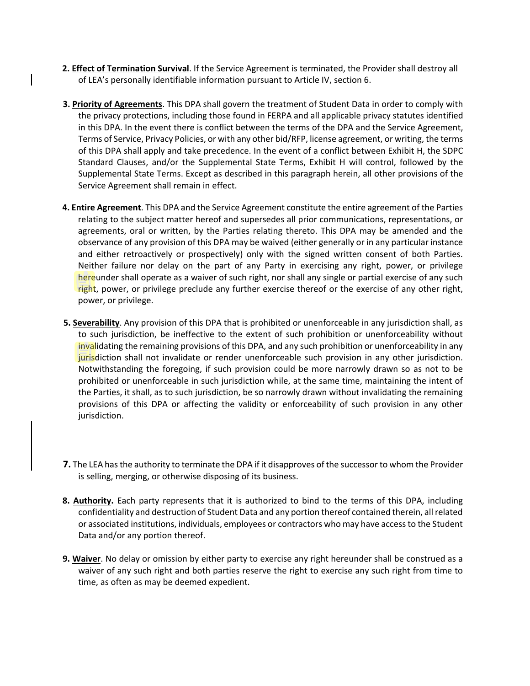- **2. Effect of Termination Survival**. If the Service Agreement is terminated, the Provider shall destroy all of LEA's personally identifiable information pursuant to Article IV, section 6.
- **3. Priority of Agreements**. This DPA shall govern the treatment of Student Data in order to comply with the privacy protections, including those found in FERPA and all applicable privacy statutes identified in this DPA. In the event there is conflict between the terms of the DPA and the Service Agreement, Terms of Service, Privacy Policies, or with any other bid/RFP, license agreement, or writing, the terms of this DPA shall apply and take precedence. In the event of a conflict between Exhibit H, the SDPC Standard Clauses, and/or the Supplemental State Terms, Exhibit H will control, followed by the Supplemental State Terms. Except as described in this paragraph herein, all other provisions of the Service Agreement shall remain in effect.
- **4. Entire Agreement**. This DPA and the Service Agreement constitute the entire agreement of the Parties relating to the subject matter hereof and supersedes all prior communications, representations, or agreements, oral or written, by the Parties relating thereto. This DPA may be amended and the observance of any provision of this DPA may be waived (either generally or in any particular instance and either retroactively or prospectively) only with the signed written consent of both Parties. Neither failure nor delay on the part of any Party in exercising any right, power, or privilege hereunder shall operate as a waiver of such right, nor shall any single or partial exercise of any such right, power, or privilege preclude any further exercise thereof or the exercise of any other right, power, or privilege.
- **5. Severability**. Any provision of this DPA that is prohibited or unenforceable in any jurisdiction shall, as to such jurisdiction, be ineffective to the extent of such prohibition or unenforceability without invalidating the remaining provisions of this DPA, and any such prohibition or unenforceability in any jurisdiction shall not invalidate or render unenforceable such provision in any other jurisdiction. Notwithstanding the foregoing, if such provision could be more narrowly drawn so as not to be prohibited or unenforceable in such jurisdiction while, at the same time, maintaining the intent of the Parties, it shall, as to such jurisdiction, be so narrowly drawn without invalidating the remaining provisions of this DPA or affecting the validity or enforceability of such provision in any other jurisdiction.
- **7.** The LEA has the authority to terminate the DPA if it disapproves of the successor to whom the Provider is selling, merging, or otherwise disposing of its business.
- **8. Authority.** Each party represents that it is authorized to bind to the terms of this DPA, including confidentiality and destruction of Student Data and any portion thereof contained therein, all related or associated institutions, individuals, employees or contractors who may have access to the Student Data and/or any portion thereof.
- **9. Waiver**. No delay or omission by either party to exercise any right hereunder shall be construed as a waiver of any such right and both parties reserve the right to exercise any such right from time to time, as often as may be deemed expedient.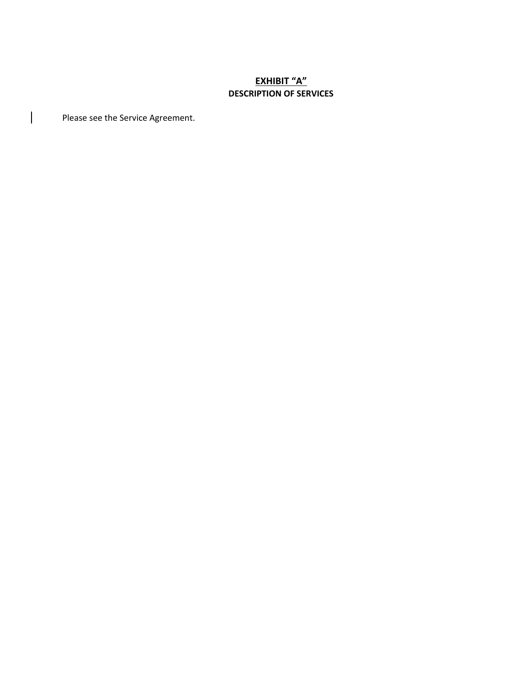## **EXHIBIT "A" DESCRIPTION OF SERVICES**

Please see the Service Agreement.

 $\overline{\phantom{a}}$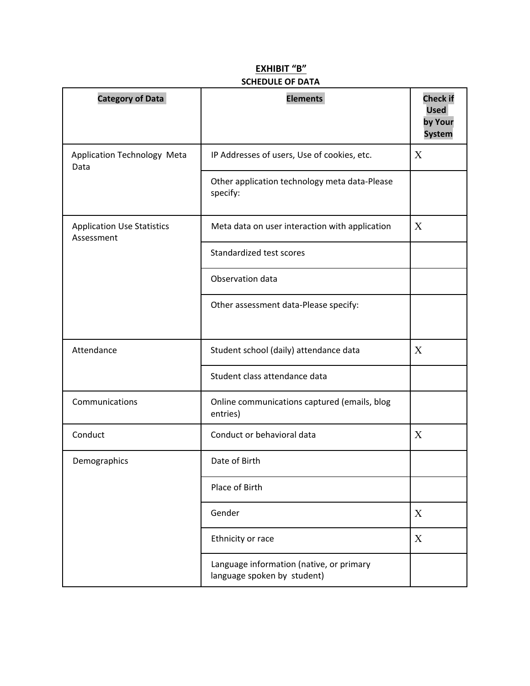## **EXHIBIT "B" SCHEDULE OF DATA**

| <b>Category of Data</b>                         | <b>Elements</b>                                                         | <b>Check if</b><br><b>Used</b><br>by Your<br><b>System</b> |
|-------------------------------------------------|-------------------------------------------------------------------------|------------------------------------------------------------|
| Application Technology Meta<br>Data             | IP Addresses of users, Use of cookies, etc.                             | X                                                          |
|                                                 | Other application technology meta data-Please<br>specify:               |                                                            |
| <b>Application Use Statistics</b><br>Assessment | Meta data on user interaction with application                          | X                                                          |
|                                                 | Standardized test scores                                                |                                                            |
|                                                 | Observation data                                                        |                                                            |
|                                                 | Other assessment data-Please specify:                                   |                                                            |
| Attendance                                      | Student school (daily) attendance data                                  | X                                                          |
|                                                 | Student class attendance data                                           |                                                            |
| Communications                                  | Online communications captured (emails, blog<br>entries)                |                                                            |
| Conduct                                         | Conduct or behavioral data                                              | X                                                          |
| Demographics                                    | Date of Birth                                                           |                                                            |
|                                                 | Place of Birth                                                          |                                                            |
|                                                 | Gender                                                                  | X                                                          |
|                                                 | Ethnicity or race                                                       | X                                                          |
|                                                 | Language information (native, or primary<br>language spoken by student) |                                                            |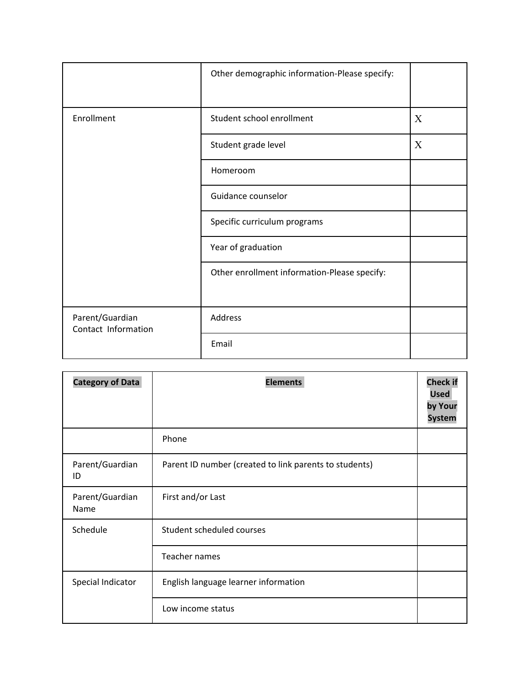|                                        | Other demographic information-Please specify: |                           |
|----------------------------------------|-----------------------------------------------|---------------------------|
| Enrollment                             | Student school enrollment                     | $\boldsymbol{\mathrm{X}}$ |
|                                        | Student grade level                           | $\boldsymbol{\mathrm{X}}$ |
|                                        | Homeroom                                      |                           |
|                                        | Guidance counselor                            |                           |
|                                        | Specific curriculum programs                  |                           |
|                                        | Year of graduation                            |                           |
|                                        | Other enrollment information-Please specify:  |                           |
| Parent/Guardian<br>Contact Information | Address                                       |                           |
|                                        | Email                                         |                           |

| <b>Category of Data</b> | <b>Elements</b>                                        | <b>Check if</b><br><b>Used</b><br>by Your<br><b>System</b> |
|-------------------------|--------------------------------------------------------|------------------------------------------------------------|
|                         | Phone                                                  |                                                            |
| Parent/Guardian<br>ID   | Parent ID number (created to link parents to students) |                                                            |
| Parent/Guardian<br>Name | First and/or Last                                      |                                                            |
| Schedule                | Student scheduled courses                              |                                                            |
|                         | Teacher names                                          |                                                            |
| Special Indicator       | English language learner information                   |                                                            |
|                         | Low income status                                      |                                                            |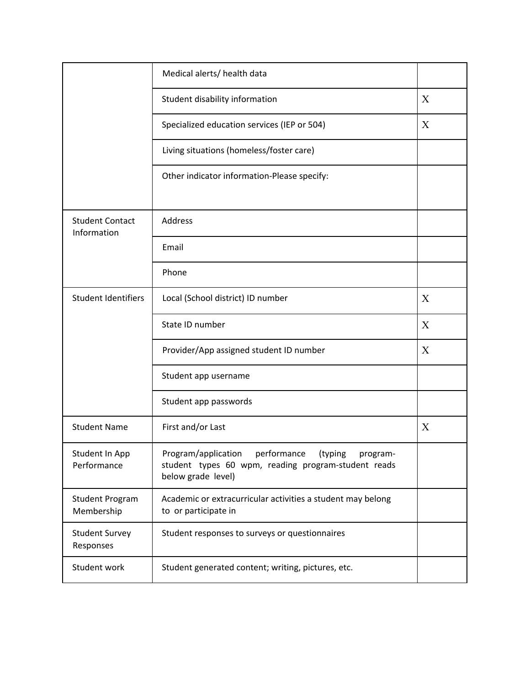|                                       | Medical alerts/ health data                                                                                                            |   |
|---------------------------------------|----------------------------------------------------------------------------------------------------------------------------------------|---|
|                                       | Student disability information                                                                                                         | X |
|                                       | Specialized education services (IEP or 504)                                                                                            | X |
|                                       | Living situations (homeless/foster care)                                                                                               |   |
|                                       | Other indicator information-Please specify:                                                                                            |   |
| <b>Student Contact</b><br>Information | Address                                                                                                                                |   |
|                                       | Email                                                                                                                                  |   |
|                                       | Phone                                                                                                                                  |   |
| <b>Student Identifiers</b>            | Local (School district) ID number                                                                                                      | X |
|                                       | State ID number                                                                                                                        | X |
|                                       | Provider/App assigned student ID number                                                                                                | X |
|                                       | Student app username                                                                                                                   |   |
|                                       | Student app passwords                                                                                                                  |   |
| <b>Student Name</b>                   | First and/or Last                                                                                                                      | X |
| Student In App<br>Performance         | Program/application<br>performance<br>(typing<br>program-<br>student types 60 wpm, reading program-student reads<br>below grade level) |   |
| <b>Student Program</b><br>Membership  | Academic or extracurricular activities a student may belong<br>to or participate in                                                    |   |
| <b>Student Survey</b><br>Responses    | Student responses to surveys or questionnaires                                                                                         |   |
| Student work                          | Student generated content; writing, pictures, etc.                                                                                     |   |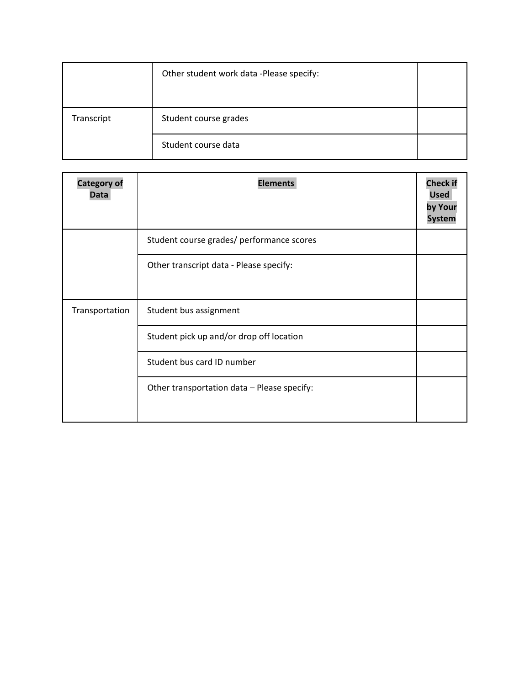|            | Other student work data -Please specify: |  |
|------------|------------------------------------------|--|
| Transcript | Student course grades                    |  |
|            | Student course data                      |  |

| <b>Category of</b><br>Data | <b>Elements</b>                             | <b>Check if</b><br><b>Used</b><br>by Your<br><b>System</b> |
|----------------------------|---------------------------------------------|------------------------------------------------------------|
|                            | Student course grades/ performance scores   |                                                            |
|                            | Other transcript data - Please specify:     |                                                            |
| Transportation             | Student bus assignment                      |                                                            |
|                            | Student pick up and/or drop off location    |                                                            |
|                            | Student bus card ID number                  |                                                            |
|                            | Other transportation data - Please specify: |                                                            |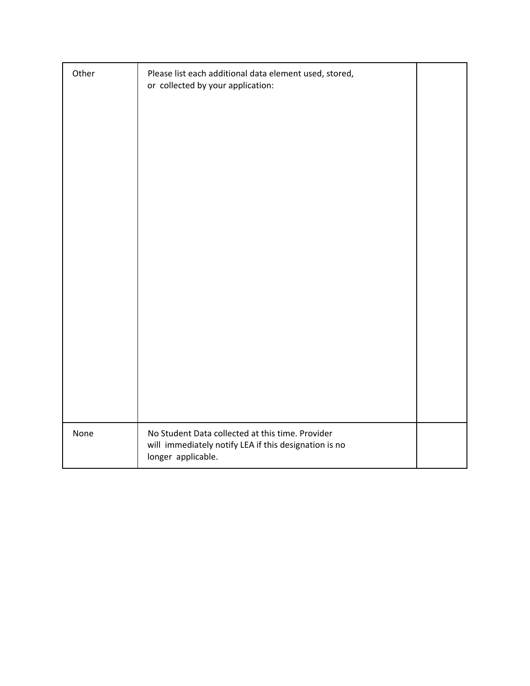| Other | Please list each additional data element used, stored,<br>or collected by your application:                                     |  |
|-------|---------------------------------------------------------------------------------------------------------------------------------|--|
| None  | No Student Data collected at this time. Provider<br>will immediately notify LEA if this designation is no<br>longer applicable. |  |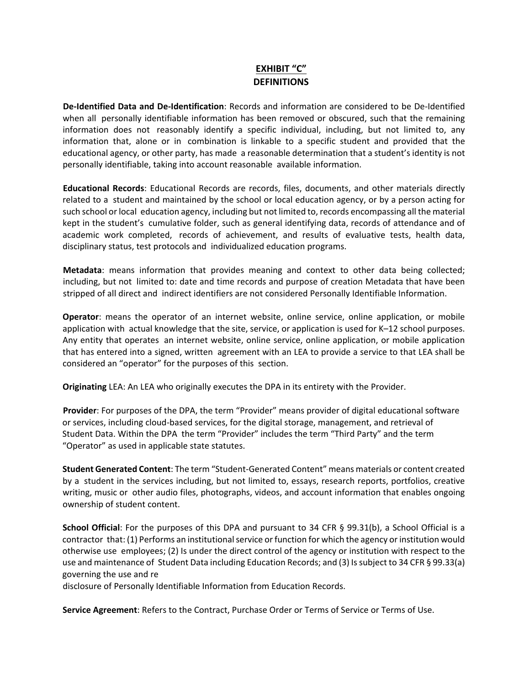# **EXHIBIT "C" DEFINITIONS**

**De-Identified Data and De-Identification**: Records and information are considered to be De-Identified when all personally identifiable information has been removed or obscured, such that the remaining information does not reasonably identify a specific individual, including, but not limited to, any information that, alone or in combination is linkable to a specific student and provided that the educational agency, or other party, has made a reasonable determination that a student's identity is not personally identifiable, taking into account reasonable available information.

**Educational Records**: Educational Records are records, files, documents, and other materials directly related to a student and maintained by the school or local education agency, or by a person acting for such school or local education agency, including but not limited to, records encompassing all the material kept in the student's cumulative folder, such as general identifying data, records of attendance and of academic work completed, records of achievement, and results of evaluative tests, health data, disciplinary status, test protocols and individualized education programs.

**Metadata**: means information that provides meaning and context to other data being collected; including, but not limited to: date and time records and purpose of creation Metadata that have been stripped of all direct and indirect identifiers are not considered Personally Identifiable Information.

**Operator**: means the operator of an internet website, online service, online application, or mobile application with actual knowledge that the site, service, or application is used for K–12 school purposes. Any entity that operates an internet website, online service, online application, or mobile application that has entered into a signed, written agreement with an LEA to provide a service to that LEA shall be considered an "operator" for the purposes of this section.

**Originating** LEA: An LEA who originally executes the DPA in its entirety with the Provider.

**Provider**: For purposes of the DPA, the term "Provider" means provider of digital educational software or services, including cloud-based services, for the digital storage, management, and retrieval of Student Data. Within the DPA the term "Provider" includes the term "Third Party" and the term "Operator" as used in applicable state statutes.

**Student Generated Content**: The term "Student-Generated Content" means materials or content created by a student in the services including, but not limited to, essays, research reports, portfolios, creative writing, music or other audio files, photographs, videos, and account information that enables ongoing ownership of student content.

**School Official**: For the purposes of this DPA and pursuant to 34 CFR § 99.31(b), a School Official is a contractor that: (1) Performs an institutional service or function for which the agency or institution would otherwise use employees; (2) Is under the direct control of the agency or institution with respect to the use and maintenance of Student Data including Education Records; and (3) Is subject to 34 CFR § 99.33(a) governing the use and re

disclosure of Personally Identifiable Information from Education Records.

**Service Agreement**: Refers to the Contract, Purchase Order or Terms of Service or Terms of Use.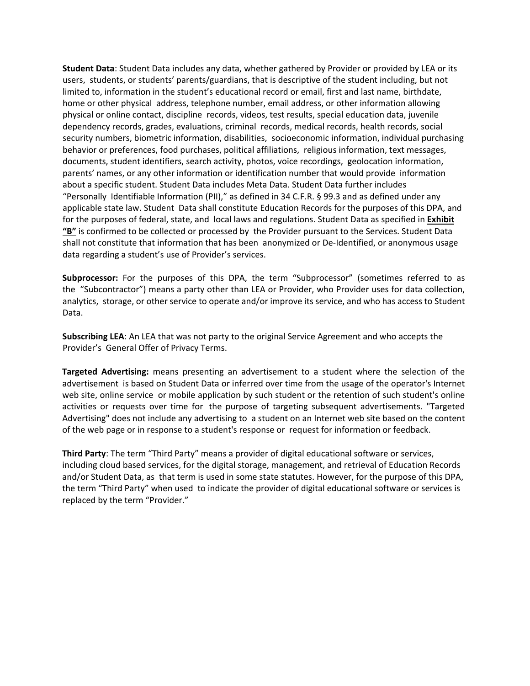**Student Data**: Student Data includes any data, whether gathered by Provider or provided by LEA or its users, students, or students' parents/guardians, that is descriptive of the student including, but not limited to, information in the student's educational record or email, first and last name, birthdate, home or other physical address, telephone number, email address, or other information allowing physical or online contact, discipline records, videos, test results, special education data, juvenile dependency records, grades, evaluations, criminal records, medical records, health records, social security numbers, biometric information, disabilities, socioeconomic information, individual purchasing behavior or preferences, food purchases, political affiliations, religious information, text messages, documents, student identifiers, search activity, photos, voice recordings, geolocation information, parents' names, or any other information or identification number that would provide information about a specific student. Student Data includes Meta Data. Student Data further includes "Personally Identifiable Information (PII)," as defined in 34 C.F.R. § 99.3 and as defined under any applicable state law. Student Data shall constitute Education Records for the purposes of this DPA, and for the purposes of federal, state, and local laws and regulations. Student Data as specified in **Exhibit "B"** is confirmed to be collected or processed by the Provider pursuant to the Services. Student Data shall not constitute that information that has been anonymized or De-Identified, or anonymous usage data regarding a student's use of Provider's services.

**Subprocessor:** For the purposes of this DPA, the term "Subprocessor" (sometimes referred to as the "Subcontractor") means a party other than LEA or Provider, who Provider uses for data collection, analytics, storage, or other service to operate and/or improve its service, and who has access to Student Data.

**Subscribing LEA**: An LEA that was not party to the original Service Agreement and who accepts the Provider's General Offer of Privacy Terms.

**Targeted Advertising:** means presenting an advertisement to a student where the selection of the advertisement is based on Student Data or inferred over time from the usage of the operator's Internet web site, online service or mobile application by such student or the retention of such student's online activities or requests over time for the purpose of targeting subsequent advertisements. "Targeted Advertising" does not include any advertising to a student on an Internet web site based on the content of the web page or in response to a student's response or request for information or feedback.

**Third Party**: The term "Third Party" means a provider of digital educational software or services, including cloud based services, for the digital storage, management, and retrieval of Education Records and/or Student Data, as that term is used in some state statutes. However, for the purpose of this DPA, the term "Third Party" when used to indicate the provider of digital educational software or services is replaced by the term "Provider."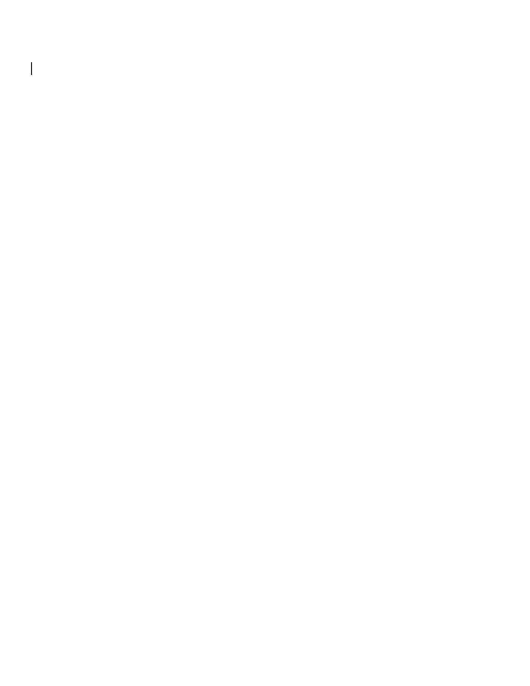$\Big|$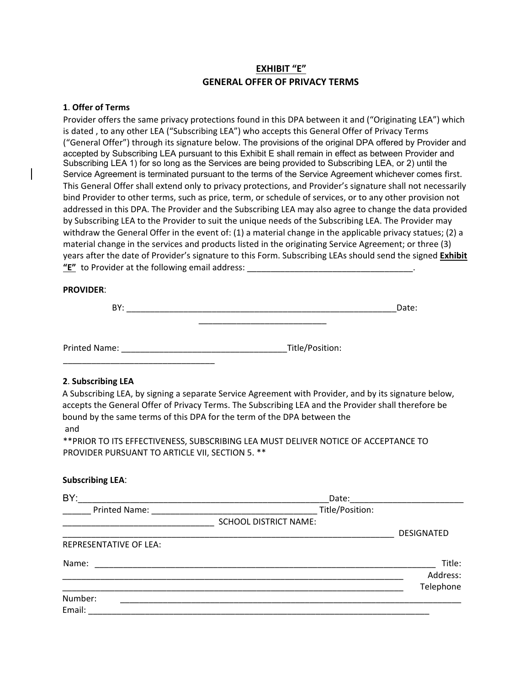## **EXHIBIT "E" GENERAL OFFER OF PRIVACY TERMS**

### **1**. **Offer of Terms**

Provider offers the same privacy protections found in this DPA between it and ("Originating LEA") which is dated , to any other LEA ("Subscribing LEA") who accepts this General Offer of Privacy Terms ("General Offer") through its signature below. The provisions of the original DPA offered by Provider and accepted by Subscribing LEA pursuant to this Exhibit E shall remain in effect as between Provider and Subscribing LEA 1) for so long as the Services are being provided to Subscribing LEA, or 2) until the Service Agreement is terminated pursuant to the terms of the Service Agreement whichever comes first. This General Offer shall extend only to privacy protections, and Provider's signature shall not necessarily bind Provider to other terms, such as price, term, or schedule of services, or to any other provision not addressed in this DPA. The Provider and the Subscribing LEA may also agree to change the data provided by Subscribing LEA to the Provider to suit the unique needs of the Subscribing LEA. The Provider may withdraw the General Offer in the event of: (1) a material change in the applicable privacy statues; (2) a material change in the services and products listed in the originating Service Agreement; or three (3) years after the date of Provider's signature to this Form. Subscribing LEAs should send the signed **Exhibit**  "E" to Provider at the following email address:

#### **PROVIDER**:

| BY:           |                 | Date: |
|---------------|-----------------|-------|
|               |                 |       |
| Printed Name: | Title/Position: |       |

#### **2**. **Subscribing LEA**

A Subscribing LEA, by signing a separate Service Agreement with Provider, and by its signature below, accepts the General Offer of Privacy Terms. The Subscribing LEA and the Provider shall therefore be bound by the same terms of this DPA for the term of the DPA between the and

\*\*PRIOR TO ITS EFFECTIVENESS, SUBSCRIBING LEA MUST DELIVER NOTICE OF ACCEPTANCE TO PROVIDER PURSUANT TO ARTICLE VII, SECTION 5. \*\*

#### **Subscribing LEA**:

| BY:                        | Date:                        |                   |
|----------------------------|------------------------------|-------------------|
| $\mathcal{L}^{\text{max}}$ | Title/Position:              |                   |
|                            | <b>SCHOOL DISTRICT NAME:</b> |                   |
|                            |                              | <b>DESIGNATED</b> |
| REPRESENTATIVE OF LEA:     |                              |                   |
| Name:                      |                              | Title:            |
|                            |                              | Address:          |
|                            |                              | Telephone         |
| Number:                    |                              |                   |
| Email:                     |                              |                   |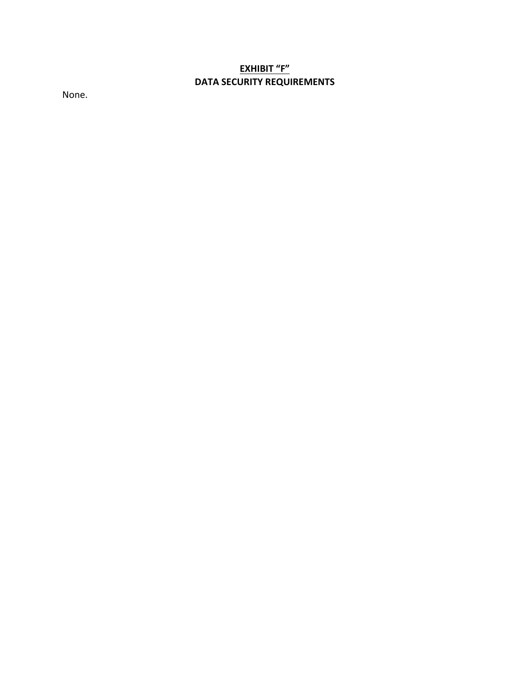# **EXHIBIT "F" DATA SECURITY REQUIREMENTS**

None.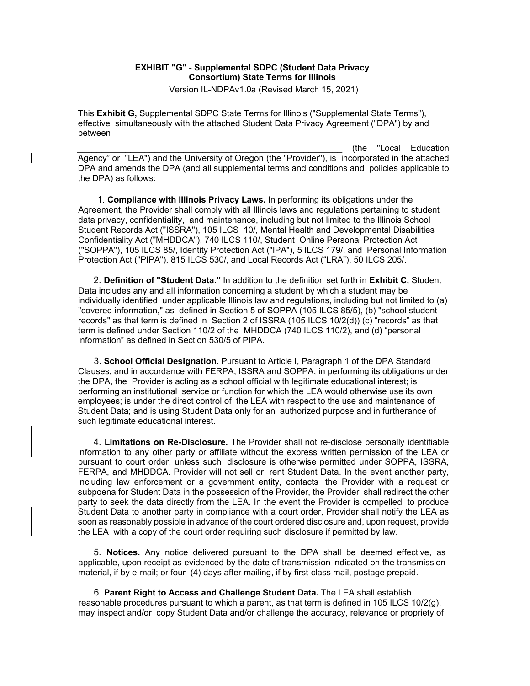### **EXHIBIT "G"** - **Supplemental SDPC (Student Data Privacy Consortium) State Terms for Illinois**

Version IL-NDPAv1.0a (Revised March 15, 2021)

This **Exhibit G,** Supplemental SDPC State Terms for Illinois ("Supplemental State Terms"), effective simultaneously with the attached Student Data Privacy Agreement ("DPA") by and between

(the "Local Education Agency" or "LEA") and the University of Oregon (the "Provider"), is incorporated in the attached DPA and amends the DPA (and all supplemental terms and conditions and policies applicable to the DPA) as follows:

1. **Compliance with Illinois Privacy Laws.** In performing its obligations under the Agreement, the Provider shall comply with all Illinois laws and regulations pertaining to student data privacy, confidentiality, and maintenance, including but not limited to the Illinois School Student Records Act ("ISSRA"), 105 ILCS 10/, Mental Health and Developmental Disabilities Confidentiality Act ("MHDDCA"), 740 ILCS 110/, Student Online Personal Protection Act ("SOPPA"), 105 ILCS 85/, Identity Protection Act ("IPA"), 5 ILCS 179/, and Personal Information Protection Act ("PIPA"), 815 ILCS 530/, and Local Records Act ("LRA"), 50 ILCS 205/.

2. **Definition of "Student Data."** In addition to the definition set forth in **Exhibit C,** Student Data includes any and all information concerning a student by which a student may be individually identified under applicable Illinois law and regulations, including but not limited to (a) "covered information," as defined in Section 5 of SOPPA (105 ILCS 85/5), (b) "school student records" as that term is defined in Section 2 of ISSRA (105 ILCS 10/2(d)) (c) "records" as that term is defined under Section 110/2 of the MHDDCA (740 ILCS 110/2), and (d) "personal information" as defined in Section 530/5 of PIPA.

3. **School Official Designation.** Pursuant to Article I, Paragraph 1 of the DPA Standard Clauses, and in accordance with FERPA, ISSRA and SOPPA, in performing its obligations under the DPA, the Provider is acting as a school official with legitimate educational interest; is performing an institutional service or function for which the LEA would otherwise use its own employees; is under the direct control of the LEA with respect to the use and maintenance of Student Data; and is using Student Data only for an authorized purpose and in furtherance of such legitimate educational interest.

4. **Limitations on Re-Disclosure.** The Provider shall not re-disclose personally identifiable information to any other party or affiliate without the express written permission of the LEA or pursuant to court order, unless such disclosure is otherwise permitted under SOPPA, ISSRA, FERPA, and MHDDCA. Provider will not sell or rent Student Data. In the event another party, including law enforcement or a government entity, contacts the Provider with a request or subpoena for Student Data in the possession of the Provider, the Provider shall redirect the other party to seek the data directly from the LEA. In the event the Provider is compelled to produce Student Data to another party in compliance with a court order, Provider shall notify the LEA as soon as reasonably possible in advance of the court ordered disclosure and, upon request, provide the LEA with a copy of the court order requiring such disclosure if permitted by law.

5. **Notices.** Any notice delivered pursuant to the DPA shall be deemed effective, as applicable, upon receipt as evidenced by the date of transmission indicated on the transmission material, if by e-mail; or four (4) days after mailing, if by first-class mail, postage prepaid.

6. **Parent Right to Access and Challenge Student Data.** The LEA shall establish reasonable procedures pursuant to which a parent, as that term is defined in 105 ILCS 10/2(g), may inspect and/or copy Student Data and/or challenge the accuracy, relevance or propriety of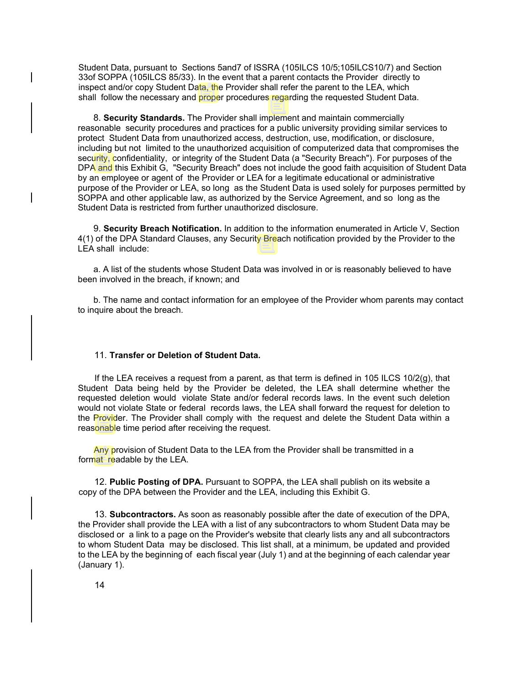Student Data, pursuant to Sections 5and7 of ISSRA (105ILCS 10/5;105ILCS10/7) and Section 33of SOPPA (105ILCS 85/33). In the event that a parent contacts the Provider directly to inspect and/or copy Student Data, the Provider shall refer the parent to the LEA, which shall follow the necessary and proper procedures regarding the requested Student Data.

8. **Security Standards.** The Provider shall implement and maintain commercially reasonable security procedures and practices for a public university providing similar services to protect Student Data from unauthorized access, destruction, use, modification, or disclosure, including but not limited to the unauthorized acquisition of computerized data that compromises the security, confidentiality, or integrity of the Student Data (a "Security Breach"). For purposes of the DPA and this Exhibit G, "Security Breach" does not include the good faith acquisition of Student Data by an employee or agent of the Provider or LEA for a legitimate educational or administrative purpose of the Provider or LEA, so long as the Student Data is used solely for purposes permitted by SOPPA and other applicable law, as authorized by the Service Agreement, and so long as the Student Data is restricted from further unauthorized disclosure.

9. **Security Breach Notification.** In addition to the information enumerated in Article V, Section 4(1) of the DPA Standard Clauses, any Security Breach notification provided by the Provider to the LEA shall include:

a. A list of the students whose Student Data was involved in or is reasonably believed to have been involved in the breach, if known; and

b. The name and contact information for an employee of the Provider whom parents may contact to inquire about the breach.

#### 11. **Transfer or Deletion of Student Data.**

If the LEA receives a request from a parent, as that term is defined in 105 ILCS 10/2(g), that Student Data being held by the Provider be deleted, the LEA shall determine whether the requested deletion would violate State and/or federal records laws. In the event such deletion would not violate State or federal records laws, the LEA shall forward the request for deletion to the Provider. The Provider shall comply with the request and delete the Student Data within a reasonable time period after receiving the request.

Any provision of Student Data to the LEA from the Provider shall be transmitted in a format readable by the LEA.

12. **Public Posting of DPA.** Pursuant to SOPPA, the LEA shall publish on its website a copy of the DPA between the Provider and the LEA, including this Exhibit G.

13. **Subcontractors.** As soon as reasonably possible after the date of execution of the DPA, the Provider shall provide the LEA with a list of any subcontractors to whom Student Data may be disclosed or a link to a page on the Provider's website that clearly lists any and all subcontractors to whom Student Data may be disclosed. This list shall, at a minimum, be updated and provided to the LEA by the beginning of each fiscal year (July 1) and at the beginning of each calendar year (January 1).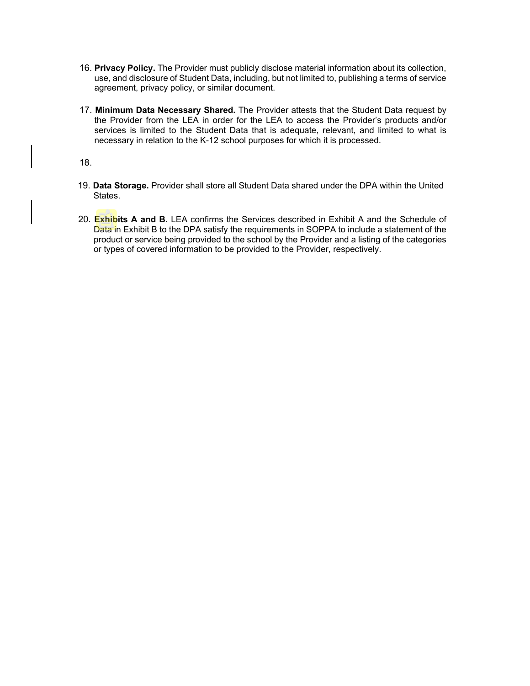- 16. **Privacy Policy.** The Provider must publicly disclose material information about its collection, use, and disclosure of Student Data, including, but not limited to, publishing a terms of service agreement, privacy policy, or similar document.
- 17. **Minimum Data Necessary Shared.** The Provider attests that the Student Data request by the Provider from the LEA in order for the LEA to access the Provider's products and/or services is limited to the Student Data that is adequate, relevant, and limited to what is necessary in relation to the K-12 school purposes for which it is processed.

18.

- 19. **Data Storage.** Provider shall store all Student Data shared under the DPA within the United States.
- 20. **Exhibits A and B.** LEA confirms the Services described in Exhibit A and the Schedule of Data in Exhibit B to the DPA satisfy the requirements in SOPPA to include a statement of the product or service being provided to the school by the Provider and a listing of the categories or types of covered information to be provided to the Provider, respectively.